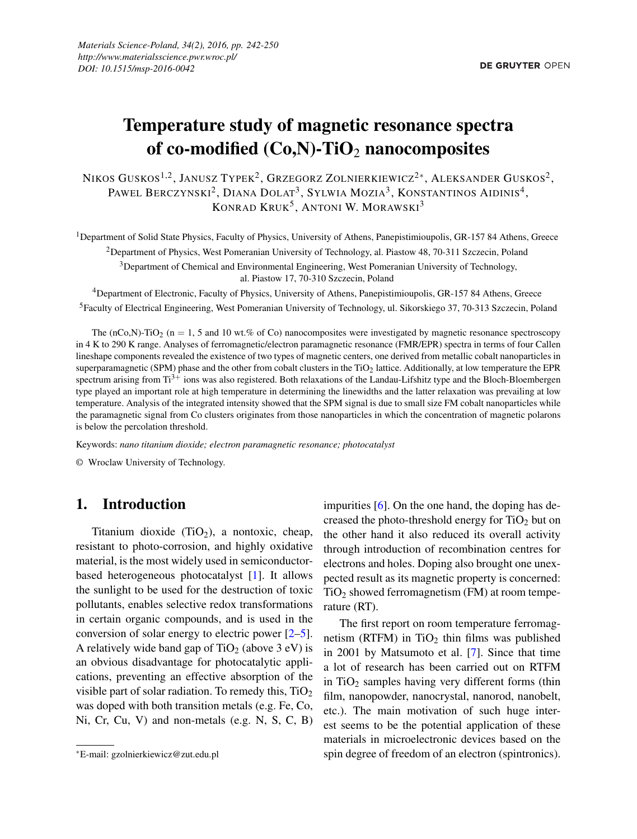# Temperature study of magnetic resonance spectra of co-modified  $(Co,N)$ -TiO<sub>2</sub> nanocomposites

Nikos Guskos $^{1,2}$ , Janusz Typek $^2$ , Grzegorz Zolnierkiewicz $^{2\ast}$ , Aleksander Guskos $^2$ , Pawel Berczynski<sup>2</sup>, Diana Dolat<sup>3</sup>, Sylwia Mozia<sup>3</sup>, Konstantinos Aidinis<sup>4</sup>, KONRAD KRUK<sup>5</sup>, ANTONI W. MORAWSKI<sup>3</sup>

<sup>1</sup>Department of Solid State Physics, Faculty of Physics, University of Athens, Panepistimioupolis, GR-157 84 Athens, Greece <sup>2</sup>Department of Physics, West Pomeranian University of Technology, al. Piastow 48, 70-311 Szczecin, Poland <sup>3</sup>Department of Chemical and Environmental Engineering, West Pomeranian University of Technology,

al. Piastow 17, 70-310 Szczecin, Poland

<sup>4</sup>Department of Electronic, Faculty of Physics, University of Athens, Panepistimioupolis, GR-157 84 Athens, Greece

<sup>5</sup>Faculty of Electrical Engineering, West Pomeranian University of Technology, ul. Sikorskiego 37, 70-313 Szczecin, Poland

The (nCo,N)-TiO<sub>2</sub> (n = 1, 5 and 10 wt.% of Co) nanocomposites were investigated by magnetic resonance spectroscopy in 4 K to 290 K range. Analyses of ferromagnetic/electron paramagnetic resonance (FMR/EPR) spectra in terms of four Callen lineshape components revealed the existence of two types of magnetic centers, one derived from metallic cobalt nanoparticles in superparamagnetic (SPM) phase and the other from cobalt clusters in the  $TiO<sub>2</sub>$  lattice. Additionally, at low temperature the EPR spectrum arising from  $Ti^{3+}$  ions was also registered. Both relaxations of the Landau-Lifshitz type and the Bloch-Bloembergen type played an important role at high temperature in determining the linewidths and the latter relaxation was prevailing at low temperature. Analysis of the integrated intensity showed that the SPM signal is due to small size FM cobalt nanoparticles while the paramagnetic signal from Co clusters originates from those nanoparticles in which the concentration of magnetic polarons is below the percolation threshold.

Keywords: *nano titanium dioxide; electron paramagnetic resonance; photocatalyst*

© Wroclaw University of Technology.

## 1. Introduction

Titanium dioxide  $(TiO<sub>2</sub>)$ , a nontoxic, cheap, resistant to photo-corrosion, and highly oxidative material, is the most widely used in semiconductorbased heterogeneous photocatalyst [1]. It allows the sunlight to be used for the destruction of toxic pollutants, enables selective redox transformations in certain organic compounds, and is used in the conversion of solar energy to electric power [2–5]. A relatively wide band gap of  $TiO<sub>2</sub>$  (above 3 eV) is an obvious disadvantage for photocatalytic applications, preventing an effective absorption of the visible part of solar radiation. To remedy this,  $TiO<sub>2</sub>$ was doped with both transition metals (e.g. Fe, Co, Ni, Cr, Cu, V) and non-metals (e.g. N, S, C, B)

impurities [6]. On the one hand, the doping has decreased the photo-threshold energy for  $TiO<sub>2</sub>$  but on the other hand it also reduced its overall activity through introduction of recombination centres for electrons and holes. Doping also brought one unexpected result as its magnetic property is concerned:  $TiO<sub>2</sub>$  showed ferromagnetism (FM) at room temperature (RT).

The first report on room temperature ferromagnetism (RTFM) in  $TiO<sub>2</sub>$  thin films was published in 2001 by Matsumoto et al. [7]. Since that time a lot of research has been carried out on RTFM in  $TiO<sub>2</sub>$  samples having very different forms (thin film, nanopowder, nanocrystal, nanorod, nanobelt, etc.). The main motivation of such huge interest seems to be the potential application of these materials in microelectronic devices based on the spin degree of freedom of an electron (spintronics).

<sup>∗</sup>E-mail: gzolnierkiewicz@zut.edu.pl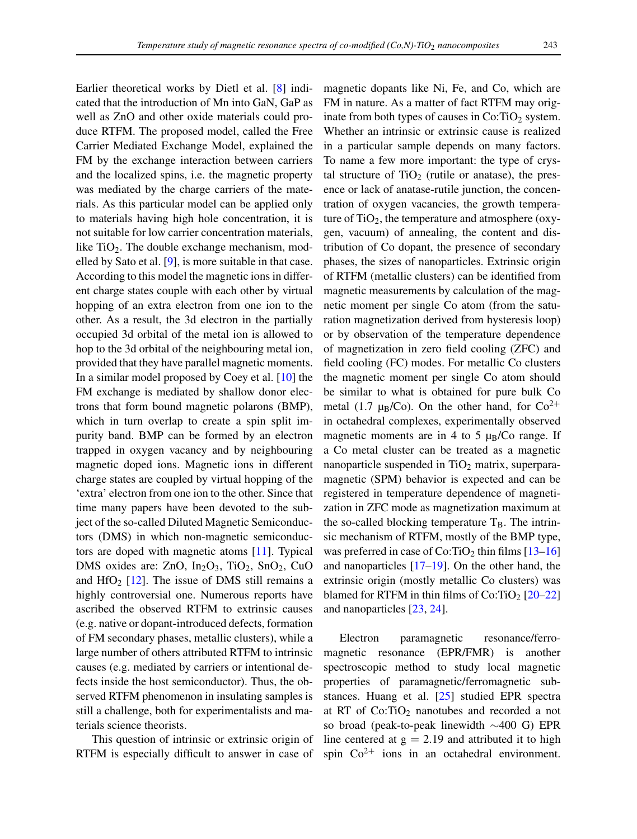Earlier theoretical works by Dietl et al. [8] indicated that the introduction of Mn into GaN, GaP as well as ZnO and other oxide materials could produce RTFM. The proposed model, called the Free Carrier Mediated Exchange Model, explained the FM by the exchange interaction between carriers and the localized spins, i.e. the magnetic property was mediated by the charge carriers of the materials. As this particular model can be applied only to materials having high hole concentration, it is not suitable for low carrier concentration materials, like  $TiO<sub>2</sub>$ . The double exchange mechanism, modelled by Sato et al. [9], is more suitable in that case. According to this model the magnetic ions in different charge states couple with each other by virtual hopping of an extra electron from one ion to the other. As a result, the 3d electron in the partially occupied 3d orbital of the metal ion is allowed to hop to the 3d orbital of the neighbouring metal ion, provided that they have parallel magnetic moments. In a similar model proposed by Coey et al. [10] the FM exchange is mediated by shallow donor electrons that form bound magnetic polarons (BMP), which in turn overlap to create a spin split impurity band. BMP can be formed by an electron trapped in oxygen vacancy and by neighbouring magnetic doped ions. Magnetic ions in different charge states are coupled by virtual hopping of the 'extra' electron from one ion to the other. Since that time many papers have been devoted to the subject of the so-called Diluted Magnetic Semiconductors (DMS) in which non-magnetic semiconductors are doped with magnetic atoms [11]. Typical DMS oxides are:  $ZnO$ ,  $In_2O_3$ ,  $TiO_2$ ,  $SnO_2$ ,  $CuO$ and  $HfO<sub>2</sub>$  [12]. The issue of DMS still remains a highly controversial one. Numerous reports have ascribed the observed RTFM to extrinsic causes (e.g. native or dopant-introduced defects, formation of FM secondary phases, metallic clusters), while a large number of others attributed RTFM to intrinsic causes (e.g. mediated by carriers or intentional defects inside the host semiconductor). Thus, the observed RTFM phenomenon in insulating samples is still a challenge, both for experimentalists and materials science theorists.

This question of intrinsic or extrinsic origin of RTFM is especially difficult to answer in case of magnetic dopants like Ni, Fe, and Co, which are FM in nature. As a matter of fact RTFM may originate from both types of causes in  $Co(TiO<sub>2</sub>)$  system. Whether an intrinsic or extrinsic cause is realized in a particular sample depends on many factors. To name a few more important: the type of crystal structure of  $TiO<sub>2</sub>$  (rutile or anatase), the presence or lack of anatase-rutile junction, the concentration of oxygen vacancies, the growth temperature of  $TiO<sub>2</sub>$ , the temperature and atmosphere (oxygen, vacuum) of annealing, the content and distribution of Co dopant, the presence of secondary phases, the sizes of nanoparticles. Extrinsic origin of RTFM (metallic clusters) can be identified from magnetic measurements by calculation of the magnetic moment per single Co atom (from the saturation magnetization derived from hysteresis loop) or by observation of the temperature dependence of magnetization in zero field cooling (ZFC) and field cooling (FC) modes. For metallic Co clusters the magnetic moment per single Co atom should be similar to what is obtained for pure bulk Co metal (1.7  $\mu_B/Co$ ). On the other hand, for  $Co^{2+}$ in octahedral complexes, experimentally observed magnetic moments are in 4 to 5  $\mu$ <sub>B</sub>/Co range. If a Co metal cluster can be treated as a magnetic nanoparticle suspended in  $TiO<sub>2</sub>$  matrix, superparamagnetic (SPM) behavior is expected and can be registered in temperature dependence of magnetization in ZFC mode as magnetization maximum at the so-called blocking temperature  $T_B$ . The intrinsic mechanism of RTFM, mostly of the BMP type, was preferred in case of Co:TiO<sub>2</sub> thin films  $[13–16]$ and nanoparticles [17–19]. On the other hand, the extrinsic origin (mostly metallic Co clusters) was blamed for RTFM in thin films of Co:TiO<sub>2</sub>  $[20-22]$ and nanoparticles [23, 24].

Electron paramagnetic resonance/ferromagnetic resonance (EPR/FMR) is another spectroscopic method to study local magnetic properties of paramagnetic/ferromagnetic substances. Huang et al. [25] studied EPR spectra at RT of  $Co:TiO<sub>2</sub>$  nanotubes and recorded a not so broad (peak-to-peak linewidth ∼400 G) EPR line centered at  $g = 2.19$  and attributed it to high spin  $Co<sup>2+</sup>$  ions in an octahedral environment.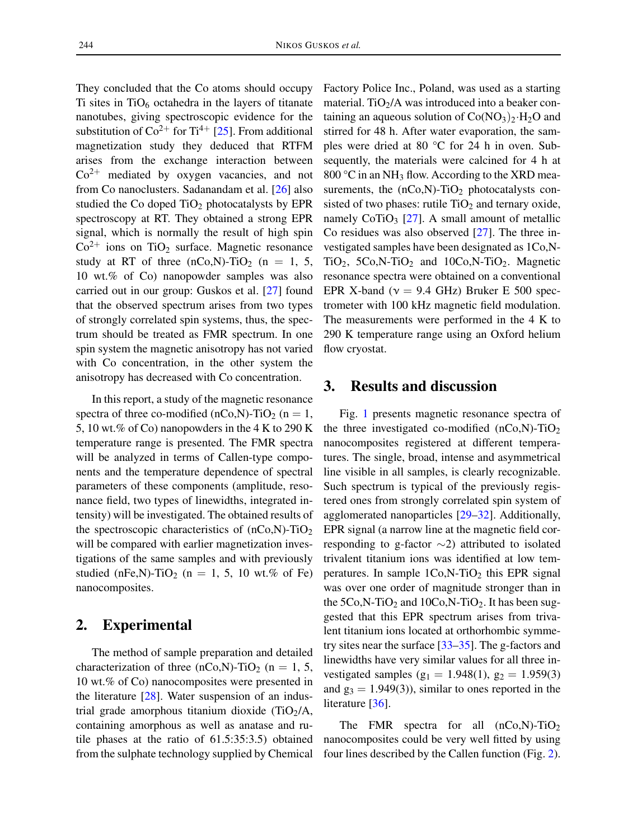They concluded that the Co atoms should occupy Ti sites in  $TiO_6$  octahedra in the layers of titanate nanotubes, giving spectroscopic evidence for the substitution of  $\text{Co}^{2+}$  for Ti<sup>4+</sup> [25]. From additional magnetization study they deduced that RTFM arises from the exchange interaction between  $Co<sup>2+</sup>$  mediated by oxygen vacancies, and not from Co nanoclusters. Sadanandam et al. [26] also studied the Co doped  $TiO<sub>2</sub>$  photocatalysts by EPR spectroscopy at RT. They obtained a strong EPR signal, which is normally the result of high spin  $Co<sup>2+</sup>$  ions on TiO<sub>2</sub> surface. Magnetic resonance study at RT of three  $(nCo,N)$ -TiO<sub>2</sub>  $(n = 1, 5, ...)$ 10 wt.% of Co) nanopowder samples was also carried out in our group: Guskos et al. [27] found that the observed spectrum arises from two types of strongly correlated spin systems, thus, the spectrum should be treated as FMR spectrum. In one spin system the magnetic anisotropy has not varied with Co concentration, in the other system the anisotropy has decreased with Co concentration.

In this report, a study of the magnetic resonance spectra of three co-modified (nCo,N)-TiO<sub>2</sub> (n = 1, 5, 10 wt.% of Co) nanopowders in the 4 K to 290 K temperature range is presented. The FMR spectra will be analyzed in terms of Callen-type components and the temperature dependence of spectral parameters of these components (amplitude, resonance field, two types of linewidths, integrated intensity) will be investigated. The obtained results of the spectroscopic characteristics of  $(nCo,N)$ -TiO<sub>2</sub> will be compared with earlier magnetization investigations of the same samples and with previously studied (nFe,N)-TiO<sub>2</sub> (n = 1, 5, 10 wt.% of Fe) nanocomposites.

### 2. Experimental

The method of sample preparation and detailed characterization of three (nCo,N)-TiO<sub>2</sub> (n = 1, 5, 10 wt.% of Co) nanocomposites were presented in the literature [28]. Water suspension of an industrial grade amorphous titanium dioxide  $(TiO<sub>2</sub>/A,$ containing amorphous as well as anatase and rutile phases at the ratio of 61.5:35:3.5) obtained from the sulphate technology supplied by Chemical Factory Police Inc., Poland, was used as a starting material. TiO<sub>2</sub>/A was introduced into a beaker containing an aqueous solution of  $Co(NO<sub>3</sub>)<sub>2</sub>·H<sub>2</sub>O$  and stirred for 48 h. After water evaporation, the samples were dried at 80 °C for 24 h in oven. Subsequently, the materials were calcined for 4 h at 800 °C in an NH<sub>3</sub> flow. According to the XRD measurements, the  $(nCo,N)$ -TiO<sub>2</sub> photocatalysts consisted of two phases: rutile  $TiO<sub>2</sub>$  and ternary oxide, namely CoTiO<sub>3</sub> [27]. A small amount of metallic Co residues was also observed [27]. The three investigated samples have been designated as 1Co,N-TiO<sub>2</sub>, 5Co,N-TiO<sub>2</sub> and 10Co,N-TiO<sub>2</sub>. Magnetic resonance spectra were obtained on a conventional EPR X-band ( $v = 9.4$  GHz) Bruker E 500 spectrometer with 100 kHz magnetic field modulation. The measurements were performed in the 4 K to 290 K temperature range using an Oxford helium flow cryostat.

### 3. Results and discussion

Fig. 1 presents magnetic resonance spectra of the three investigated co-modified  $(nCo,N)$ -TiO<sub>2</sub> nanocomposites registered at different temperatures. The single, broad, intense and asymmetrical line visible in all samples, is clearly recognizable. Such spectrum is typical of the previously registered ones from strongly correlated spin system of agglomerated nanoparticles [29–32]. Additionally, EPR signal (a narrow line at the magnetic field corresponding to g-factor ∼2) attributed to isolated trivalent titanium ions was identified at low temperatures. In sample  $1Co,N-TiO<sub>2</sub>$  this EPR signal was over one order of magnitude stronger than in the  $5Co$ , N-TiO<sub>2</sub> and  $10Co$ , N-TiO<sub>2</sub>. It has been suggested that this EPR spectrum arises from trivalent titanium ions located at orthorhombic symmetry sites near the surface [33–35]. The g-factors and linewidths have very similar values for all three investigated samples ( $g_1 = 1.948(1)$ ,  $g_2 = 1.959(3)$ ) and  $g_3 = 1.949(3)$ , similar to ones reported in the literature [36].

The FMR spectra for all  $(nCo,N)$ -TiO<sub>2</sub> nanocomposites could be very well fitted by using four lines described by the Callen function (Fig. 2).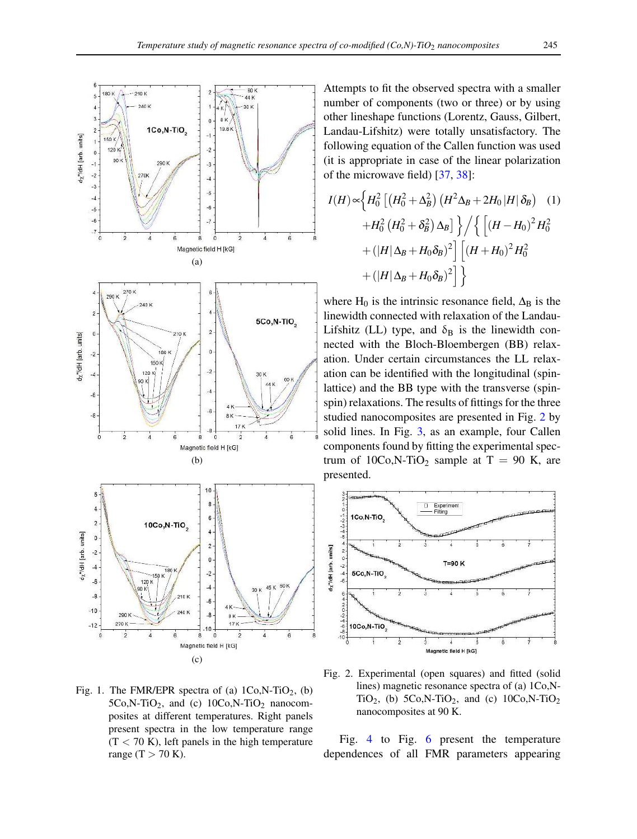

Fig. 1. The FMR/EPR spectra of (a)  $1Co,N-TiO<sub>2</sub>$ , (b)  $5Co, N-TiO<sub>2</sub>$ , and (c)  $10Co, N-TiO<sub>2</sub>$  nanocomposites at different temperatures. Right panels present spectra in the low temperature range  $(T < 70 K)$ , left panels in the high temperature range  $(T > 70$  K).

Attempts to fit the observed spectra with a smaller number of components (two or three) or by using other lineshape functions (Lorentz, Gauss, Gilbert, Landau-Lifshitz) were totally unsatisfactory. The following equation of the Callen function was used (it is appropriate in case of the linear polarization of the microwave field) [37, 38]:

$$
I(H) \propto \left\{ H_0^2 \left[ \left( H_0^2 + \Delta_B^2 \right) \left( H^2 \Delta_B + 2H_0 \left| H \right| \delta_B \right) \right] \right\}
$$
  
+ 
$$
H_0^2 \left( H_0^2 + \delta_B^2 \right) \Delta_B \right\} / \left\{ \left[ \left( H - H_0 \right)^2 H_0^2 \right] + \left( |H| \Delta_B + H_0 \delta_B \right)^2 \right] \left[ \left( H + H_0 \right)^2 H_0^2 \right] + \left( |H| \Delta_B + H_0 \delta_B \right)^2 \right] \right\}
$$

where H<sub>0</sub> is the intrinsic resonance field,  $\Delta_B$  is the linewidth connected with relaxation of the Landau-Lifshitz (LL) type, and  $\delta_B$  is the linewidth connected with the Bloch-Bloembergen (BB) relaxation. Under certain circumstances the LL relaxation can be identified with the longitudinal (spinlattice) and the BB type with the transverse (spinspin) relaxations. The results of fittings for the three studied nanocomposites are presented in Fig. 2 by solid lines. In Fig. 3, as an example, four Callen components found by fitting the experimental spectrum of  $10Co$ , N-TiO<sub>2</sub> sample at T = 90 K, are presented.



Fig. 2. Experimental (open squares) and fitted (solid lines) magnetic resonance spectra of (a) 1Co,N-TiO<sub>2</sub>, (b) 5Co,N-TiO<sub>2</sub>, and (c) 10Co,N-TiO<sub>2</sub> nanocomposites at 90 K.

Fig. 4 to Fig. 6 present the temperature dependences of all FMR parameters appearing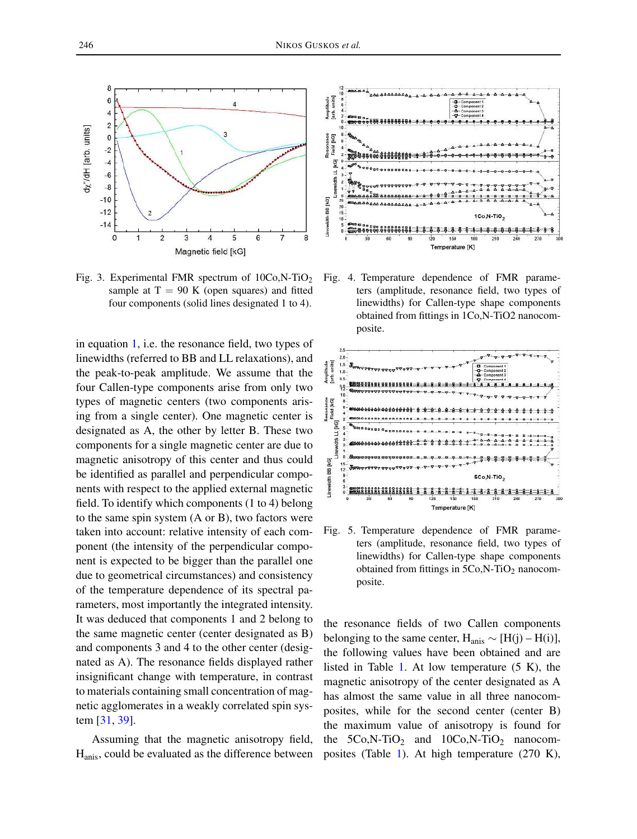

Fig. 3. Experimental FMR spectrum of  $10Co,N-TiO<sub>2</sub>$ sample at  $T = 90$  K (open squares) and fitted four components (solid lines designated 1 to 4).

in equation 1, i.e. the resonance field, two types of linewidths (referred to BB and LL relaxations), and the peak-to-peak amplitude. We assume that the four Callen-type components arise from only two types of magnetic centers (two components arising from a single center). One magnetic center is designated as A, the other by letter B. These two components for a single magnetic center are due to magnetic anisotropy of this center and thus could be identified as parallel and perpendicular components with respect to the applied external magnetic field. To identify which components (1 to 4) belong to the same spin system (A or B), two factors were taken into account: relative intensity of each component (the intensity of the perpendicular component is expected to be bigger than the parallel one due to geometrical circumstances) and consistency of the temperature dependence of its spectral parameters, most importantly the integrated intensity. It was deduced that components 1 and 2 belong to the same magnetic center (center designated as B) and components 3 and 4 to the other center (designated as A). The resonance fields displayed rather insignificant change with temperature, in contrast to materials containing small concentration of magnetic agglomerates in a weakly correlated spin system [31, 39].

Assuming that the magnetic anisotropy field, Hanis, could be evaluated as the difference between



Fig. 4. Temperature dependence of FMR parameters (amplitude, resonance field, two types of linewidths) for Callen-type shape components obtained from fittings in 1Co,N-TiO2 nanocomposite.



Fig. 5. Temperature dependence of FMR parameters (amplitude, resonance field, two types of linewidths) for Callen-type shape components obtained from fittings in  $5Co$ , N-TiO<sub>2</sub> nanocomposite.

the resonance fields of two Callen components belonging to the same center,  $H_{anis} \sim [H(j) - H(i)],$ the following values have been obtained and are listed in Table 1. At low temperature (5 K), the magnetic anisotropy of the center designated as A has almost the same value in all three nanocomposites, while for the second center (center B) the maximum value of anisotropy is found for the  $5Co,N-TiO<sub>2</sub>$  and  $10Co,N-TiO<sub>2</sub>$  nanocomposites (Table 1). At high temperature (270 K),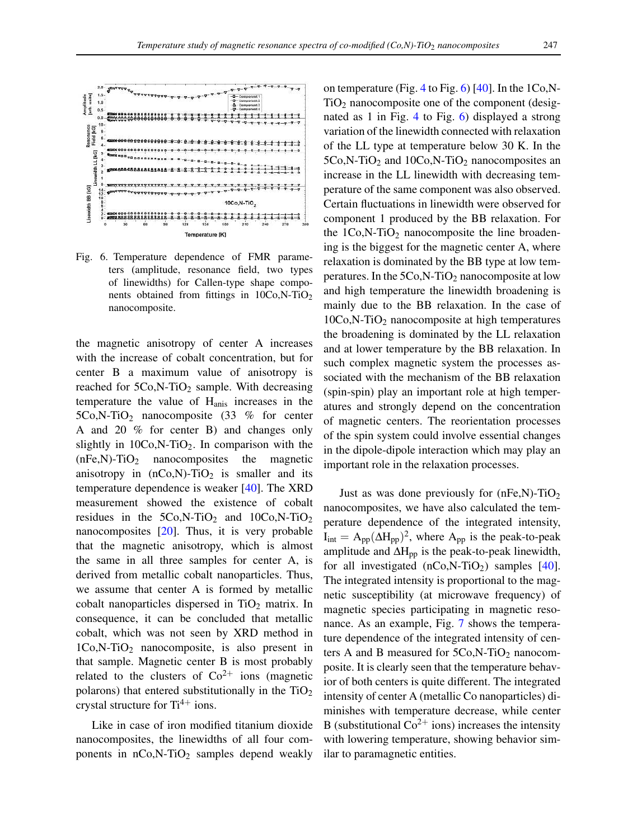

Fig. 6. Temperature dependence of FMR parameters (amplitude, resonance field, two types of linewidths) for Callen-type shape components obtained from fittings in  $10Co,N-TiO<sub>2</sub>$ nanocomposite.

the magnetic anisotropy of center A increases with the increase of cobalt concentration, but for center B a maximum value of anisotropy is reached for  $5Co$ , N-TiO<sub>2</sub> sample. With decreasing temperature the value of Hanis increases in the 5Co,N-TiO<sup>2</sup> nanocomposite (33 % for center A and 20 % for center B) and changes only slightly in  $10Co$ , N-TiO<sub>2</sub>. In comparison with the  $(nFe,N)$ -TiO<sub>2</sub> nanocomposites the magnetic anisotropy in  $(nCo,N)$ -TiO<sub>2</sub> is smaller and its temperature dependence is weaker [40]. The XRD measurement showed the existence of cobalt residues in the  $5Co,N-TiO<sub>2</sub>$  and  $10Co,N-TiO<sub>2</sub>$ nanocomposites [20]. Thus, it is very probable that the magnetic anisotropy, which is almost the same in all three samples for center A, is derived from metallic cobalt nanoparticles. Thus, we assume that center A is formed by metallic cobalt nanoparticles dispersed in  $TiO<sub>2</sub>$  matrix. In consequence, it can be concluded that metallic cobalt, which was not seen by XRD method in 1Co,N-TiO<sup>2</sup> nanocomposite, is also present in that sample. Magnetic center B is most probably related to the clusters of  $Co^{2+}$  ions (magnetic polarons) that entered substitutionally in the  $TiO<sub>2</sub>$ crystal structure for  $Ti^{4+}$  ions.

Like in case of iron modified titanium dioxide nanocomposites, the linewidths of all four components in  $nCo,N-TiO<sub>2</sub>$  samples depend weakly

on temperature (Fig. 4 to Fig. 6)  $[40]$ . In the 1Co,N- $TiO<sub>2</sub>$  nanocomposite one of the component (designated as 1 in Fig. 4 to Fig. 6) displayed a strong variation of the linewidth connected with relaxation of the LL type at temperature below 30 K. In the  $5Co$ , N-TiO<sub>2</sub> and  $10Co$ , N-TiO<sub>2</sub> nanocomposites an increase in the LL linewidth with decreasing temperature of the same component was also observed. Certain fluctuations in linewidth were observed for component 1 produced by the BB relaxation. For the  $1Co$ , N-TiO<sub>2</sub> nanocomposite the line broadening is the biggest for the magnetic center A, where relaxation is dominated by the BB type at low temperatures. In the 5Co,N-TiO<sub>2</sub> nanocomposite at low and high temperature the linewidth broadening is mainly due to the BB relaxation. In the case of  $10Co$ , N-TiO<sub>2</sub> nanocomposite at high temperatures the broadening is dominated by the LL relaxation and at lower temperature by the BB relaxation. In such complex magnetic system the processes associated with the mechanism of the BB relaxation (spin-spin) play an important role at high temperatures and strongly depend on the concentration of magnetic centers. The reorientation processes of the spin system could involve essential changes in the dipole-dipole interaction which may play an important role in the relaxation processes.

Just as was done previously for  $(nFe,N)$ -TiO<sub>2</sub> nanocomposites, we have also calculated the temperature dependence of the integrated intensity,  $I_{int} = A_{pp} (\Delta H_{pp})^2$ , where  $A_{pp}$  is the peak-to-peak amplitude and  $\Delta H_{\text{pp}}$  is the peak-to-peak linewidth, for all investigated  $(nCo, N-TiO<sub>2</sub>)$  samples  $[40]$ . The integrated intensity is proportional to the magnetic susceptibility (at microwave frequency) of magnetic species participating in magnetic resonance. As an example, Fig. 7 shows the temperature dependence of the integrated intensity of centers A and B measured for  $5Co$ , N-TiO<sub>2</sub> nanocomposite. It is clearly seen that the temperature behavior of both centers is quite different. The integrated intensity of center A (metallic Co nanoparticles) diminishes with temperature decrease, while center B (substitutional  $Co^{2+}$  ions) increases the intensity with lowering temperature, showing behavior similar to paramagnetic entities.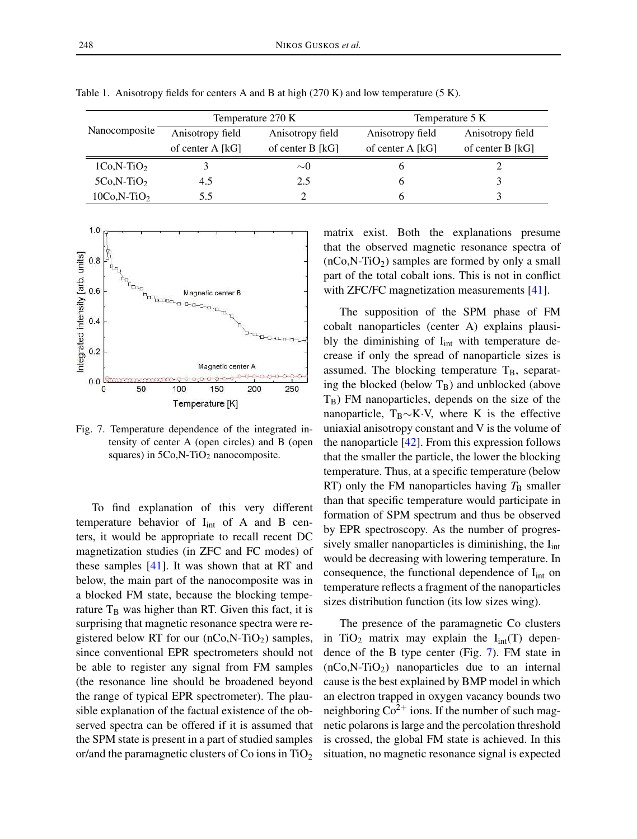|               | Temperature 270 K |                    | Temperature 5 K  |                  |
|---------------|-------------------|--------------------|------------------|------------------|
| Nanocomposite | Anisotropy field  | Anisotropy field   | Anisotropy field | Anisotropy field |
|               | of center $A[kG]$ | of center $B$ [kG] | of center A [kG] | of center B [kG] |
| $1Co.N-TiO2$  |                   | $\sim$ ()          |                  |                  |
| $5Co.N-TiO2$  | 4.5               | 2.5                |                  |                  |
| $10Co,N-TiO2$ | 5.5               |                    |                  |                  |

Table 1. Anisotropy fields for centers A and B at high (270 K) and low temperature (5 K).



Fig. 7. Temperature dependence of the integrated intensity of center A (open circles) and B (open squares) in  $5Co$ , N-TiO<sub>2</sub> nanocomposite.

To find explanation of this very different temperature behavior of  $I_{int}$  of A and B centers, it would be appropriate to recall recent DC magnetization studies (in ZFC and FC modes) of these samples [41]. It was shown that at RT and below, the main part of the nanocomposite was in a blocked FM state, because the blocking temperature  $T_B$  was higher than RT. Given this fact, it is surprising that magnetic resonance spectra were registered below RT for our  $(nCo, N-TiO<sub>2</sub>)$  samples, since conventional EPR spectrometers should not be able to register any signal from FM samples (the resonance line should be broadened beyond the range of typical EPR spectrometer). The plausible explanation of the factual existence of the observed spectra can be offered if it is assumed that the SPM state is present in a part of studied samples or/and the paramagnetic clusters of Co ions in  $TiO<sub>2</sub>$ 

matrix exist. Both the explanations presume that the observed magnetic resonance spectra of  $(nCo,N-TiO<sub>2</sub>)$  samples are formed by only a small part of the total cobalt ions. This is not in conflict with ZFC/FC magnetization measurements [41].

The supposition of the SPM phase of FM cobalt nanoparticles (center A) explains plausibly the diminishing of  $I_{int}$  with temperature decrease if only the spread of nanoparticle sizes is assumed. The blocking temperature  $T_B$ , separating the blocked (below  $T_B$ ) and unblocked (above  $T_B$ ) FM nanoparticles, depends on the size of the nanoparticle, T<sub>B</sub> $\sim$ K·V, where K is the effective uniaxial anisotropy constant and V is the volume of the nanoparticle [42]. From this expression follows that the smaller the particle, the lower the blocking temperature. Thus, at a specific temperature (below RT) only the FM nanoparticles having  $T<sub>B</sub>$  smaller than that specific temperature would participate in formation of SPM spectrum and thus be observed by EPR spectroscopy. As the number of progressively smaller nanoparticles is diminishing, the  $I_{int}$ would be decreasing with lowering temperature. In consequence, the functional dependence of  $I_{int}$  on temperature reflects a fragment of the nanoparticles sizes distribution function (its low sizes wing).

The presence of the paramagnetic Co clusters in TiO<sub>2</sub> matrix may explain the  $I_{int}(T)$  dependence of the B type center (Fig. 7). FM state in  $(nCo, N-TiO<sub>2</sub>)$  nanoparticles due to an internal cause is the best explained by BMP model in which an electron trapped in oxygen vacancy bounds two neighboring  $Co^{2+}$  ions. If the number of such magnetic polarons is large and the percolation threshold is crossed, the global FM state is achieved. In this situation, no magnetic resonance signal is expected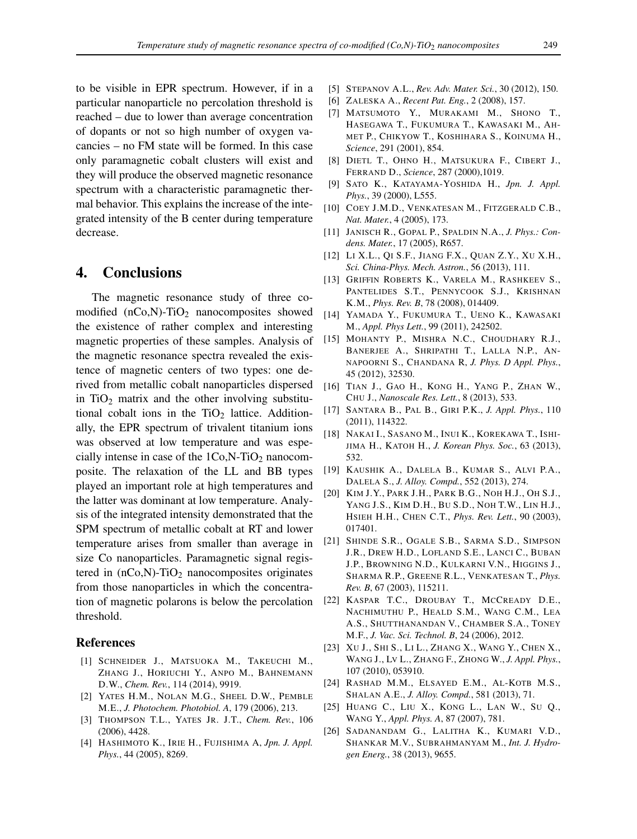to be visible in EPR spectrum. However, if in a particular nanoparticle no percolation threshold is reached – due to lower than average concentration of dopants or not so high number of oxygen vacancies – no FM state will be formed. In this case only paramagnetic cobalt clusters will exist and they will produce the observed magnetic resonance spectrum with a characteristic paramagnetic thermal behavior. This explains the increase of the integrated intensity of the B center during temperature decrease.

#### 4. Conclusions

The magnetic resonance study of three comodified  $(nCo,N)$ -TiO<sub>2</sub> nanocomposites showed the existence of rather complex and interesting magnetic properties of these samples. Analysis of the magnetic resonance spectra revealed the existence of magnetic centers of two types: one derived from metallic cobalt nanoparticles dispersed in  $TiO<sub>2</sub>$  matrix and the other involving substitutional cobalt ions in the  $TiO<sub>2</sub>$  lattice. Additionally, the EPR spectrum of trivalent titanium ions was observed at low temperature and was especially intense in case of the  $1Co$ ,  $N$ -Ti $O_2$  nanocomposite. The relaxation of the LL and BB types played an important role at high temperatures and the latter was dominant at low temperature. Analysis of the integrated intensity demonstrated that the SPM spectrum of metallic cobalt at RT and lower temperature arises from smaller than average in size Co nanoparticles. Paramagnetic signal registered in  $(nCo,N)$ -TiO<sub>2</sub> nanocomposites originates from those nanoparticles in which the concentration of magnetic polarons is below the percolation threshold.

#### References

- [1] SCHNEIDER J., MATSUOKA M., TAKEUCHI M., ZHANG J., HORIUCHI Y., ANPO M., BAHNEMANN D.W., *Chem. Rev.*, 114 (2014), 9919.
- [2] YATES H.M., NOLAN M.G., SHEEL D.W., PEMBLE M.E., *J. Photochem. Photobiol. A*, 179 (2006), 213.
- [3] THOMPSON T.L., YATES JR. J.T., *Chem. Rev.*, 106 (2006), 4428.
- [4] HASHIMOTO K., IRIE H., FUJISHIMA A, *Jpn. J. Appl. Phys.*, 44 (2005), 8269.
- [5] STEPANOV A.L., *Rev. Adv. Mater. Sci.*, 30 (2012), 150.
- [6] ZALESKA A., *Recent Pat. Eng.*, 2 (2008), 157.
- [7] MATSUMOTO Y., MURAKAMI M., SHONO T., HASEGAWA T., FUKUMURA T., KAWASAKI M., AH-MET P., CHIKYOW T., KOSHIHARA S., KOINUMA H., *Science*, 291 (2001), 854.
- [8] DIETL T., OHNO H., MATSUKURA F., CIBERT J., FERRAND D., *Science*, 287 (2000),1019.
- [9] SATO K., KATAYAMA-YOSHIDA H., *Jpn. J. Appl. Phys.*, 39 (2000), L555.
- [10] COEY J.M.D., VENKATESAN M., FITZGERALD C.B., *Nat. Mater.*, 4 (2005), 173.
- [11] JANISCH R., GOPAL P., SPALDIN N.A., *J. Phys.: Condens. Mater.*, 17 (2005), R657.
- [12] LI X.L., QI S.F., JIANG F.X., QUAN Z.Y., XU X.H., *Sci. China-Phys. Mech. Astron.*, 56 (2013), 111.
- [13] GRIFFIN ROBERTS K., VARELA M., RASHKEEV S., PANTELIDES S.T., PENNYCOOK S.J., KRISHNAN K.M., *Phys. Rev. B*, 78 (2008), 014409.
- [14] YAMADA Y., FUKUMURA T., UENO K., KAWASAKI M., *Appl. Phys Lett.*, 99 (2011), 242502.
- [15] MOHANTY P., MISHRA N.C., CHOUDHARY R.J., BANERJEE A., SHRIPATHI T., LALLA N.P., AN-NAPOORNI S., CHANDANA R, *J. Phys. D Appl. Phys.*, 45 (2012), 32530.
- [16] TIAN J., GAO H., KONG H., YANG P., ZHAN W., CHU J., *Nanoscale Res. Lett.*, 8 (2013), 533.
- [17] SANTARA B., PAL B., GIRI P.K., *J. Appl. Phys.*, 110 (2011), 114322.
- [18] NAKAI I., SASANO M., INUI K., KOREKAWA T., ISHI-JIMA H., KATOH H., *J. Korean Phys. Soc.*, 63 (2013), 532.
- [19] KAUSHIK A., DALELA B., KUMAR S., ALVI P.A., DALELA S., *J. Alloy. Compd.*, 552 (2013), 274.
- [20] KIM J.Y., PARK J.H., PARK B.G., NOH H.J., OH S.J., YANG J.S., KIM D.H., BU S.D., NOH T.W., LIN H.J., HSIEH H.H., CHEN C.T., *Phys. Rev. Lett.*, 90 (2003), 017401.
- [21] SHINDE S.R., OGALE S.B., SARMA S.D., SIMPSON J.R., DREW H.D., LOFLAND S.E., LANCI C., BUBAN J.P., BROWNING N.D., KULKARNI V.N., HIGGINS J., SHARMA R.P., GREENE R.L., VENKATESAN T., *Phys. Rev. B*, 67 (2003), 115211.
- [22] KASPAR T.C., DROUBAY T., MCCREADY D.E., NACHIMUTHU P., HEALD S.M., WANG C.M., LEA A.S., SHUTTHANANDAN V., CHAMBER S.A., TONEY M.F., *J. Vac. Sci. Technol. B*, 24 (2006), 2012.
- [23] XU J., SHI S., LI L., ZHANG X., WANG Y., CHEN X., WANG J., LV L., ZHANG F., ZHONG W., *J. Appl. Phys.*, 107 (2010), 053910.
- [24] RASHAD M.M., ELSAYED E.M., AL-KOTB M.S., SHALAN A.E., *J. Alloy. Compd.*, 581 (2013), 71.
- [25] HUANG C., LIU X., KONG L., LAN W., SU Q., WANG Y., *Appl. Phys. A*, 87 (2007), 781.
- [26] SADANANDAM G., LALITHA K., KUMARI V.D., SHANKAR M.V., SUBRAHMANYAM M., *Int. J. Hydrogen Energ.*, 38 (2013), 9655.